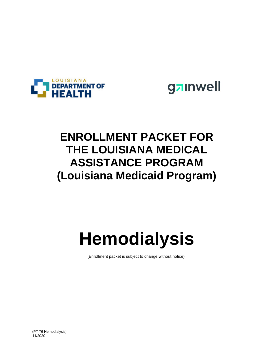

gainwell

## **ENROLLMENT PACKET FOR THE LOUISIANA MEDICAL ASSISTANCE PROGRAM (Louisiana Medicaid Program)**

## **Hemodialysis**

(Enrollment packet is subject to change without notice)